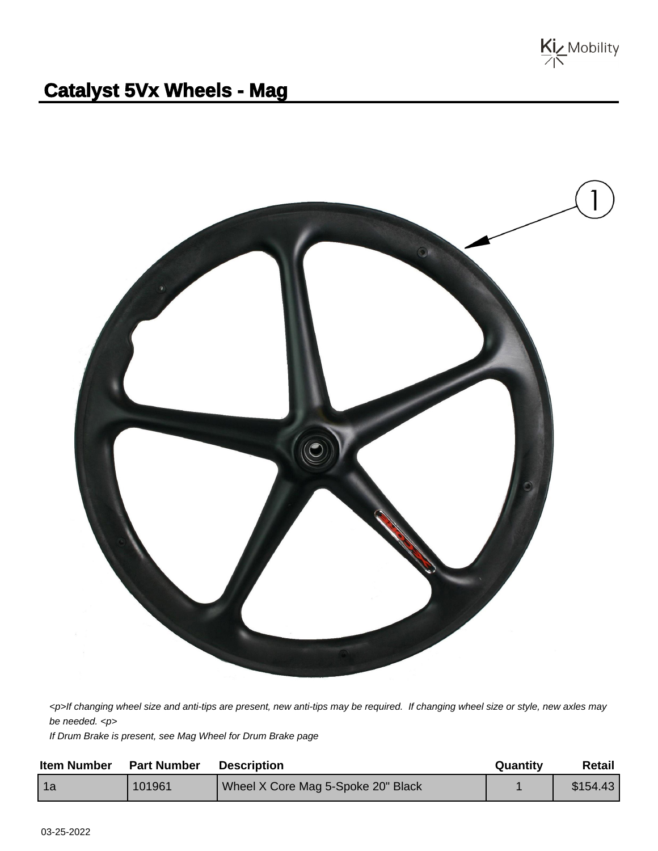

## **Catalyst 5Vx Wheels - Mag**



<p>If changing wheel size and anti-tips are present, new anti-tips may be required. If changing wheel size or style, new axles may be needed. <p>

If Drum Brake is present, see Mag Wheel for Drum Brake page

| <b>Item Number</b> | <b>Part Number</b> | <b>Description</b>                 | Quantity | Retail   |
|--------------------|--------------------|------------------------------------|----------|----------|
| 1a                 | 101961             | Wheel X Core Mag 5-Spoke 20" Black |          | \$154.43 |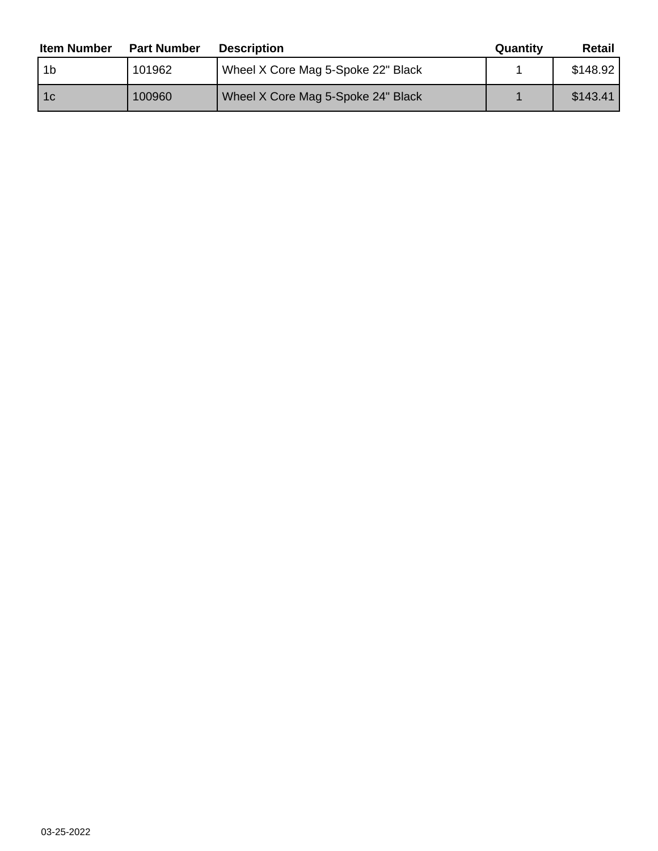| <b>Item Number</b> | <b>Part Number</b> | <b>Description</b>                 | Quantity | Retail   |
|--------------------|--------------------|------------------------------------|----------|----------|
| -1b                | 101962             | Wheel X Core Mag 5-Spoke 22" Black |          | \$148.92 |
| l 1c               | 100960             | Wheel X Core Mag 5-Spoke 24" Black |          | \$143.41 |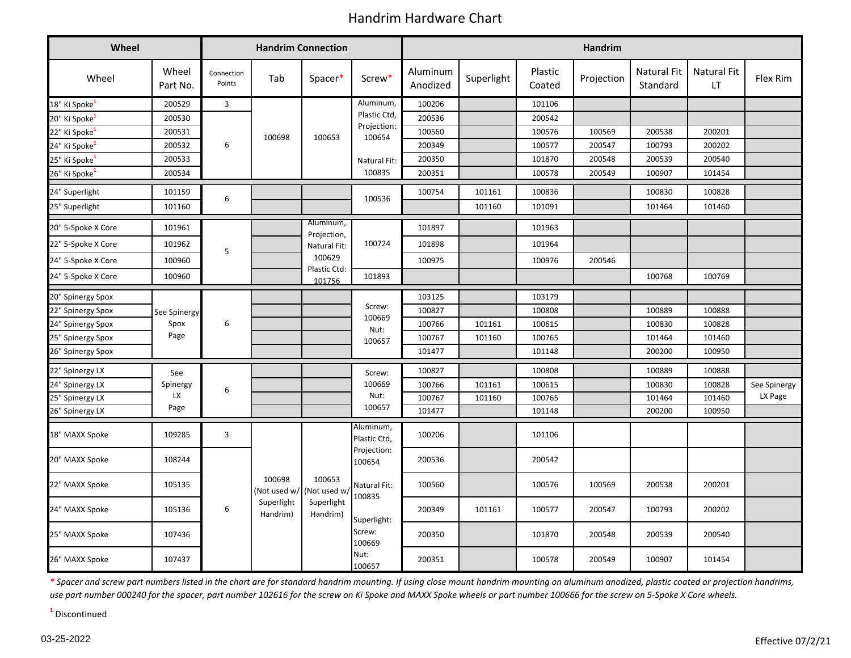## Handrim Hardware Chart

| Wheel                     |                   |                      |                        | <b>Handrim Connection</b>                        |                           | <b>Handrim</b>       |            |                   |            |                         |                    |              |  |  |
|---------------------------|-------------------|----------------------|------------------------|--------------------------------------------------|---------------------------|----------------------|------------|-------------------|------------|-------------------------|--------------------|--------------|--|--|
| Wheel                     | Wheel<br>Part No. | Connection<br>Points | Tab                    | Spacer*                                          | Screw*                    | Aluminum<br>Anodized | Superlight | Plastic<br>Coated | Projection | Natural Fit<br>Standard | Natural Fit<br>LT. | Flex Rim     |  |  |
| 18" Ki Spoke <sup>1</sup> | 200529            | 3                    |                        |                                                  | Aluminum,                 | 100206               |            | 101106            |            |                         |                    |              |  |  |
| 20" Ki Spoke <sup>1</sup> | 200530            | 6                    |                        |                                                  | Plastic Ctd,              | 200536               |            | 200542            |            |                         |                    |              |  |  |
| 22" Ki Spoke <sup>1</sup> | 200531            |                      | 100698                 | 100653                                           | Projection:<br>100654     | 100560               |            | 100576            | 100569     | 200538                  | 200201             |              |  |  |
| 24" Ki Spoke <sup>1</sup> | 200532            |                      |                        |                                                  |                           | 200349               |            | 100577            | 200547     | 100793                  | 200202             |              |  |  |
| 25" Ki Spoke <sup>1</sup> | 200533            |                      |                        |                                                  | Natural Fit:              | 200350               |            | 101870            | 200548     | 200539                  | 200540             |              |  |  |
| 26" Ki Spoke <sup>1</sup> | 200534            |                      |                        |                                                  | 100835                    | 200351               |            | 100578            | 200549     | 100907                  | 101454             |              |  |  |
| 24" Superlight            | 101159            |                      |                        |                                                  |                           | 100754               | 101161     | 100836            |            | 100830                  | 100828             |              |  |  |
| 25" Superlight            | 101160            | 6                    |                        |                                                  | 100536                    |                      | 101160     | 101091            |            | 101464                  | 101460             |              |  |  |
| 20" 5-Spoke X Core        | 101961            |                      |                        | Aluminum,                                        |                           | 101897               |            | 101963            |            |                         |                    |              |  |  |
| 22" 5-Spoke X Core        | 101962            |                      |                        | Projection,<br>Natural Fit:                      | 100724                    | 101898               |            | 101964            |            |                         |                    |              |  |  |
| 24" 5-Spoke X Core        | 100960            | 5                    |                        |                                                  | 100629                    |                      | 100975     |                   | 100976     | 200546                  |                    |              |  |  |
| 24" 5-Spoke X Core        | 100960            |                      |                        | Plastic Ctd:<br>101756                           | 101893                    |                      |            |                   |            | 100768                  | 100769             |              |  |  |
| 20" Spinergy Spox         |                   |                      |                        |                                                  |                           |                      | 103125     |                   | 103179     |                         |                    |              |  |  |
| 22" Spinergy Spox         | See Spinergy      |                      |                        | Screw:                                           | 100827                    |                      | 100808     |                   | 100889     | 100888                  |                    |              |  |  |
| 24" Spinergy Spox         | Spox              | 6                    |                        |                                                  | 100669<br>Nut:<br>100657  | 100766               | 101161     | 100615            |            | 100830                  | 100828             |              |  |  |
| 25" Spinergy Spox         | Page              |                      |                        |                                                  |                           | 100767               | 101160     | 100765            |            | 101464                  | 101460             |              |  |  |
| 26" Spinergy Spox         |                   |                      |                        |                                                  |                           | 101477               |            | 101148            |            | 200200                  | 100950             |              |  |  |
| 22" Spinergy LX           | See               |                      |                        |                                                  | Screw:                    | 100827               |            | 100808            |            | 100889                  | 100888             |              |  |  |
| 24" Spinergy LX           | Spinergy          | 6                    |                        |                                                  | 100669                    | 100766               | 101161     | 100615            |            | 100830                  | 100828             | See Spinergy |  |  |
| 25" Spinergy LX           | LX                |                      |                        |                                                  | Nut:                      | 100767               | 101160     | 100765            |            | 101464                  | 101460             | LX Page      |  |  |
| 26" Spinergy LX           | Page              |                      |                        |                                                  | 100657                    | 101477               |            | 101148            |            | 200200                  | 100950             |              |  |  |
| 18" MAXX Spoke            | 109285            | 3                    |                        |                                                  | Aluminum,<br>Plastic Ctd, | 100206               |            | 101106            |            |                         |                    |              |  |  |
| 20" MAXX Spoke            | 108244            |                      |                        |                                                  | Projection:<br>100654     | 200536               |            | 200542            |            |                         |                    |              |  |  |
| 22" MAXX Spoke            | 105135            | 6                    | 100698<br>(Not used w/ | 100653<br>(Not used w/<br>Superlight<br>Handrim) | Natural Fit:              | 100560               |            | 100576            | 100569     | 200538                  | 200201             |              |  |  |
| 24" MAXX Spoke            | 105136            |                      | Superlight<br>Handrim) |                                                  | 100835<br>Superlight:     | 200349               | 101161     | 100577            | 200547     | 100793                  | 200202             |              |  |  |
| 25" MAXX Spoke            | 107436            |                      |                        |                                                  | Screw:<br>100669          | 200350               |            | 101870            | 200548     | 200539                  | 200540             |              |  |  |
| 26" MAXX Spoke            | 107437            |                      |                        |                                                  | Nut:<br>100657            | 200351               |            | 100578            | 200549     | 100907                  | 101454             |              |  |  |

\* Spacer and screw part numbers listed in the chart are for standard handrim mounting. If using close mount handrim mounting on aluminum anodized, plastic coated or projection handrims, use part number 000240 for the spacer, part number 102616 for the screw on Ki Spoke and MAXX Spoke wheels or part number 100666 for the screw on 5-Spoke X Core wheels.

**1** Discontinued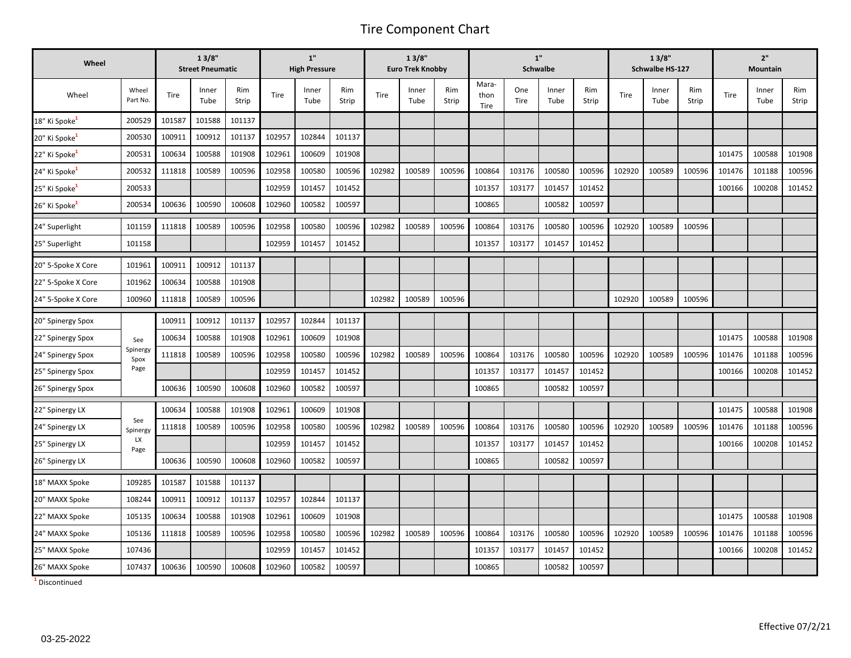## Tire Component Chart

| Wheel                     |                   |        | 13/8"<br><b>Street Pneumatic</b> |              |        | 1"<br><b>High Pressure</b> |              |        | 13/8"<br><b>Euro Trek Knobby</b> |              |                       | $1"$<br>Schwalbe |               |              | 13/8"<br>Schwalbe HS-127 |               | 2"<br>Mountain |        |               |              |
|---------------------------|-------------------|--------|----------------------------------|--------------|--------|----------------------------|--------------|--------|----------------------------------|--------------|-----------------------|------------------|---------------|--------------|--------------------------|---------------|----------------|--------|---------------|--------------|
| Wheel                     | Wheel<br>Part No. | Tire   | Inner<br>Tube                    | Rim<br>Strip | Tire   | Inner<br>Tube              | Rim<br>Strip | Tire   | Inner<br>Tube                    | Rim<br>Strip | Mara-<br>thon<br>Tire | One<br>Tire      | Inner<br>Tube | Rim<br>Strip | Tire                     | Inner<br>Tube | Rim<br>Strip   | Tire   | Inner<br>Tube | Rim<br>Strip |
| 18" Ki Spoke'             | 200529            | 101587 | 101588                           | 101137       |        |                            |              |        |                                  |              |                       |                  |               |              |                          |               |                |        |               |              |
| 20" Ki Spoke <sup>1</sup> | 200530            | 100911 | 100912                           | 101137       | 102957 | 102844                     | 101137       |        |                                  |              |                       |                  |               |              |                          |               |                |        |               |              |
| 22" Ki Spoke <sup>1</sup> | 200531            | 100634 | 100588                           | 101908       | 102961 | 100609                     | 101908       |        |                                  |              |                       |                  |               |              |                          |               |                | 101475 | 100588        | 101908       |
| 24" Ki Spoke              | 200532            | 111818 | 100589                           | 100596       | 102958 | 100580                     | 100596       | 102982 | 100589                           | 100596       | 100864                | 103176           | 100580        | 100596       | 102920                   | 100589        | 100596         | 101476 | 101188        | 100596       |
| 25" Ki Spoke <sup>-</sup> | 200533            |        |                                  |              | 102959 | 101457                     | 101452       |        |                                  |              | 101357                | 103177           | 101457        | 101452       |                          |               |                | 100166 | 100208        | 101452       |
| 26" Ki Spoke <sup>1</sup> | 200534            | 100636 | 100590                           | 100608       | 102960 | 100582                     | 100597       |        |                                  |              | 100865                |                  | 100582        | 100597       |                          |               |                |        |               |              |
| 24" Superlight            | 101159            | 111818 | 100589                           | 100596       | 102958 | 100580                     | 100596       | 102982 | 100589                           | 100596       | 100864                | 103176           | 100580        | 100596       | 102920                   | 100589        | 100596         |        |               |              |
| 25" Superlight            | 101158            |        |                                  |              | 102959 | 101457                     | 101452       |        |                                  |              | 101357                | 103177           | 101457        | 101452       |                          |               |                |        |               |              |
| 20" 5-Spoke X Core        | 101961            | 100911 | 100912                           | 101137       |        |                            |              |        |                                  |              |                       |                  |               |              |                          |               |                |        |               |              |
| 22" 5-Spoke X Core        | 101962            | 100634 | 100588                           | 101908       |        |                            |              |        |                                  |              |                       |                  |               |              |                          |               |                |        |               |              |
| 24" 5-Spoke X Core        | 100960            | 111818 | 100589                           | 100596       |        |                            |              | 102982 | 100589                           | 100596       |                       |                  |               |              | 102920                   | 100589        | 100596         |        |               |              |
| 20" Spinergy Spox         |                   | 100911 | 100912                           | 101137       | 102957 | 102844                     | 101137       |        |                                  |              |                       |                  |               |              |                          |               |                |        |               |              |
| 22" Spinergy Spox         | See               | 100634 | 100588                           | 101908       | 102961 | 100609                     | 101908       |        |                                  |              |                       |                  |               |              |                          |               |                | 101475 | 100588        | 101908       |
| 24" Spinergy Spox         | Spinergy<br>Spox  | 111818 | 100589                           | 100596       | 102958 | 100580                     | 100596       | 102982 | 100589                           | 100596       | 100864                | 103176           | 100580        | 100596       | 102920                   | 100589        | 100596         | 101476 | 101188        | 100596       |
| 25" Spinergy Spox         | Page              |        |                                  |              | 102959 | 101457                     | 101452       |        |                                  |              | 101357                | 103177           | 101457        | 101452       |                          |               |                | 100166 | 100208        | 101452       |
| 26" Spinergy Spox         |                   | 100636 | 100590                           | 100608       | 102960 | 100582                     | 100597       |        |                                  |              | 100865                |                  | 100582        | 100597       |                          |               |                |        |               |              |
| 22" Spinergy LX           |                   | 100634 | 100588                           | 101908       | 102961 | 100609                     | 101908       |        |                                  |              |                       |                  |               |              |                          |               |                | 101475 | 100588        | 101908       |
| 24" Spinergy LX           | See<br>Spinergy   | 111818 | 100589                           | 100596       | 102958 | 100580                     | 100596       | 102982 | 100589                           | 100596       | 100864                | 103176           | 100580        | 100596       | 102920                   | 100589        | 100596         | 101476 | 101188        | 100596       |
| 25" Spinergy LX           | LX<br>Page        |        |                                  |              | 102959 | 101457                     | 101452       |        |                                  |              | 101357                | 103177           | 101457        | 101452       |                          |               |                | 100166 | 100208        | 101452       |
| 26" Spinergy LX           |                   | 100636 | 100590                           | 100608       | 102960 | 100582                     | 100597       |        |                                  |              | 100865                |                  | 100582        | 100597       |                          |               |                |        |               |              |
| 18" MAXX Spoke            | 109285            | 101587 | 101588                           | 101137       |        |                            |              |        |                                  |              |                       |                  |               |              |                          |               |                |        |               |              |
| 20" MAXX Spoke            | 108244            | 100911 | 100912                           | 101137       | 102957 | 102844                     | 101137       |        |                                  |              |                       |                  |               |              |                          |               |                |        |               |              |
| 22" MAXX Spoke            | 105135            | 100634 | 100588                           | 101908       | 102961 | 100609                     | 101908       |        |                                  |              |                       |                  |               |              |                          |               |                | 101475 | 100588        | 101908       |
| 24" MAXX Spoke            | 105136            | 111818 | 100589                           | 100596       | 102958 | 100580                     | 100596       | 102982 | 100589                           | 100596       | 100864                | 103176           | 100580        | 100596       | 102920                   | 100589        | 100596         | 101476 | 101188        | 100596       |
| 25" MAXX Spoke            | 107436            |        |                                  |              | 102959 | 101457                     | 101452       |        |                                  |              | 101357                | 103177           | 101457        | 101452       |                          |               |                | 100166 | 100208        | 101452       |
| 26" MAXX Spoke            | 107437            | 100636 | 100590                           | 100608       | 102960 | 100582                     | 100597       |        |                                  |              | 100865                |                  | 100582        | 100597       |                          |               |                |        |               |              |

**1** Discontinued